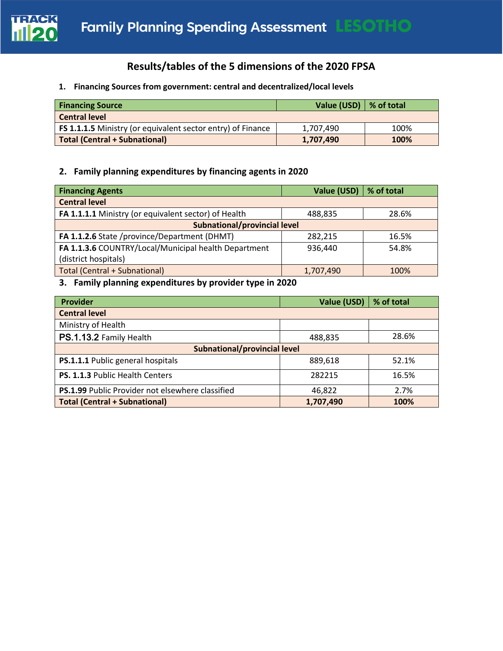

# **Results/tables of the 5 dimensions of the 2020 FPSA**

# **1. Financing Sources from government: central and decentralized/local levels**

| <b>Financing Source</b>                                     | Value (USD) $\vert$ % of total |      |
|-------------------------------------------------------------|--------------------------------|------|
| <b>Central level</b>                                        |                                |      |
| FS 1.1.1.5 Ministry (or equivalent sector entry) of Finance | 1,707,490                      | 100% |
| <b>Total (Central + Subnational)</b>                        | 1,707,490                      | 100% |

# **2. Family planning expenditures by financing agents in 2020**

| <b>Financing Agents</b>                              | Value (USD) | $\frac{1}{2}$ % of total |  |
|------------------------------------------------------|-------------|--------------------------|--|
| <b>Central level</b>                                 |             |                          |  |
| FA 1.1.1.1 Ministry (or equivalent sector) of Health | 488,835     | 28.6%                    |  |
| <b>Subnational/provincial level</b>                  |             |                          |  |
| FA 1.1.2.6 State /province/Department (DHMT)         | 282,215     | 16.5%                    |  |
| FA 1.1.3.6 COUNTRY/Local/Municipal health Department | 936,440     | 54.8%                    |  |
| (district hospitals)                                 |             |                          |  |
| <b>Total (Central + Subnational)</b>                 | 1,707,490   | 100%                     |  |

# **3. Family planning expenditures by provider type in 2020**

| <b>Provider</b>                                  | Value (USD) | % of total |  |  |
|--------------------------------------------------|-------------|------------|--|--|
| <b>Central level</b>                             |             |            |  |  |
| Ministry of Health                               |             |            |  |  |
| PS.1.13.2 Family Health                          | 488,835     | 28.6%      |  |  |
| Subnational/provincial level                     |             |            |  |  |
| PS.1.1.1 Public general hospitals                | 889,618     | 52.1%      |  |  |
| PS. 1.1.3 Public Health Centers                  | 282215      | 16.5%      |  |  |
| PS.1.99 Public Provider not elsewhere classified | 46,822      | 2.7%       |  |  |
| <b>Total (Central + Subnational)</b>             | 1,707,490   | 100%       |  |  |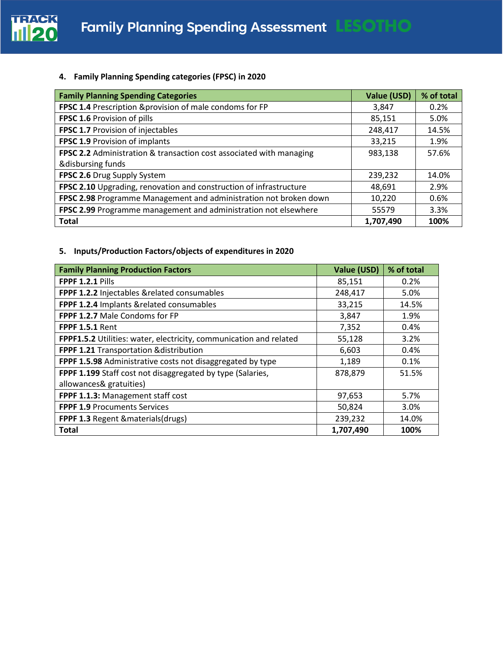

### **4. Family Planning Spending categories (FPSC) in 2020**

| <b>Family Planning Spending Categories</b>                          | Value (USD) | % of total |
|---------------------------------------------------------------------|-------------|------------|
| FPSC 1.4 Prescription & provision of male condoms for FP            | 3,847       | 0.2%       |
| FPSC 1.6 Provision of pills                                         | 85,151      | 5.0%       |
| FPSC 1.7 Provision of injectables                                   | 248,417     | 14.5%      |
| <b>FPSC 1.9 Provision of implants</b>                               | 33,215      | 1.9%       |
| FPSC 2.2 Administration & transaction cost associated with managing | 983,138     | 57.6%      |
| &disbursing funds                                                   |             |            |
| FPSC 2.6 Drug Supply System                                         | 239,232     | 14.0%      |
| FPSC 2.10 Upgrading, renovation and construction of infrastructure  | 48,691      | 2.9%       |
| FPSC 2.98 Programme Management and administration not broken down   | 10,220      | 0.6%       |
| FPSC 2.99 Programme management and administration not elsewhere     | 55579       | 3.3%       |
| <b>Total</b>                                                        | 1,707,490   | 100%       |

# **5. Inputs/Production Factors/objects of expenditures in 2020**

| <b>Family Planning Production Factors</b>                          | <b>Value (USD)</b> | % of total |
|--------------------------------------------------------------------|--------------------|------------|
| <b>FPPF 1.2.1 Pills</b>                                            | 85,151             | 0.2%       |
| FPPF 1.2.2 Injectables & related consumables                       | 248,417            | 5.0%       |
| FPPF 1.2.4 Implants & related consumables                          | 33,215             | 14.5%      |
| FPPF 1.2.7 Male Condoms for FP                                     | 3,847              | 1.9%       |
| <b>FPPF 1.5.1 Rent</b>                                             | 7,352              | 0.4%       |
| FPPF1.5.2 Utilities: water, electricity, communication and related | 55,128             | 3.2%       |
| FPPF 1.21 Transportation & distribution                            | 6,603              | 0.4%       |
| FPPF 1.5.98 Administrative costs not disaggregated by type         | 1,189              | 0.1%       |
| FPPF 1.199 Staff cost not disaggregated by type (Salaries,         | 878,879            | 51.5%      |
| allowances& gratuities)                                            |                    |            |
| FPPF 1.1.3: Management staff cost                                  | 97,653             | 5.7%       |
| <b>FPPF 1.9 Procuments Services</b>                                | 50,824             | 3.0%       |
| FPPF 1.3 Regent & materials (drugs)                                | 239,232            | 14.0%      |
| <b>Total</b>                                                       | 1,707,490          | 100%       |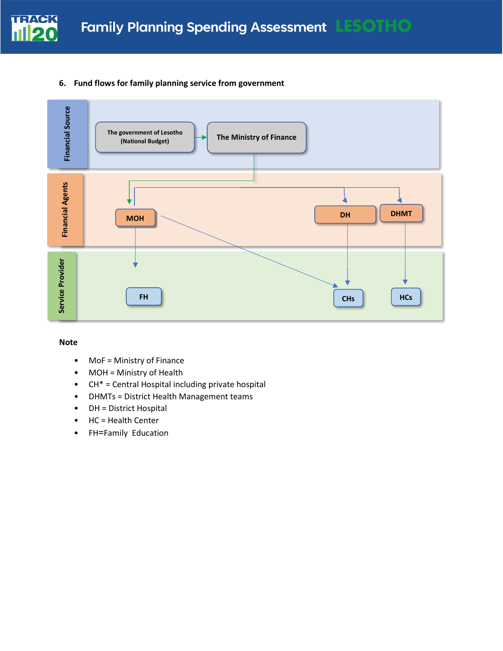

### **6. Fund flows for family planning service from government**



#### **Note**

- MoF = Ministry of Finance
- MOH = Ministry of Health
- CH\* = Central Hospital including private hospital
- DHMTs = District Health Management teams
- DH = District Hospital
- HC = Health Center
- FH=Family Education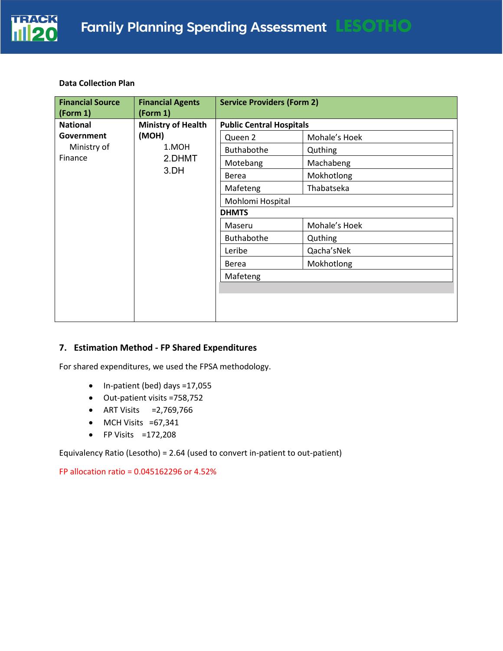

#### **Data Collection Plan**

| <b>Financial Source</b><br>(Form 1) | <b>Financial Agents</b><br>(Form 1) | <b>Service Providers (Form 2)</b> |               |  |
|-------------------------------------|-------------------------------------|-----------------------------------|---------------|--|
| <b>National</b>                     | <b>Ministry of Health</b>           | <b>Public Central Hospitals</b>   |               |  |
| Government                          | (MOH)                               | Queen 2                           | Mohale's Hoek |  |
| Ministry of                         | 1.MOH                               | Buthabothe                        | Quthing       |  |
| Finance                             | 2.DHMT                              | Motebang                          | Machabeng     |  |
|                                     | 3.DH                                | Berea                             | Mokhotlong    |  |
|                                     |                                     | Mafeteng                          | Thabatseka    |  |
|                                     |                                     | Mohlomi Hospital                  |               |  |
|                                     |                                     | <b>DHMTS</b>                      |               |  |
|                                     |                                     | Maseru                            | Mohale's Hoek |  |
|                                     |                                     | <b>Buthabothe</b>                 | Quthing       |  |
|                                     |                                     | Leribe                            | Qacha'sNek    |  |
|                                     |                                     | <b>Berea</b>                      | Mokhotlong    |  |
|                                     |                                     | Mafeteng                          |               |  |
|                                     |                                     |                                   |               |  |
|                                     |                                     |                                   |               |  |
|                                     |                                     |                                   |               |  |

### **7. Estimation Method - FP Shared Expenditures**

For shared expenditures, we used the FPSA methodology.

- In-patient (bed) days =17,055
- Out-patient visits =758,752
- ART Visits =2,769,766
- MCH Visits =67,341
- FP Visits =172,208

Equivalency Ratio (Lesotho) = 2.64 (used to convert in-patient to out-patient)

FP allocation ratio = 0.045162296 or 4.52%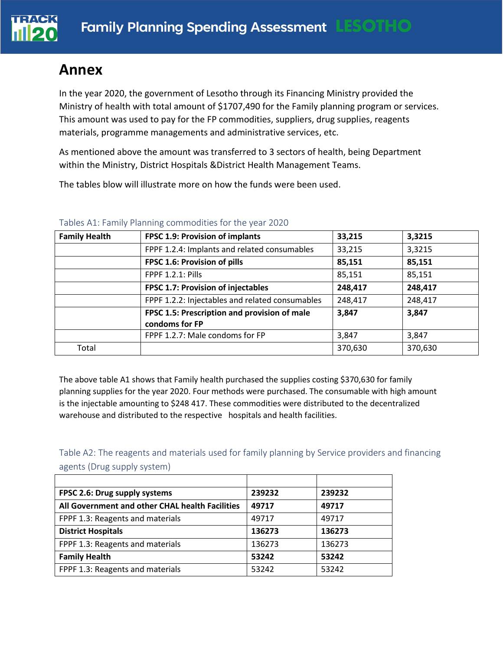# **Annex**

In the year 2020, the government of Lesotho through its Financing Ministry provided the Ministry of health with total amount of \$1707,490 for the Family planning program or services. This amount was used to pay for the FP commodities, suppliers, drug supplies, reagents materials, programme managements and administrative services, etc.

As mentioned above the amount was transferred to 3 sectors of health, being Department within the Ministry, District Hospitals &District Health Management Teams.

The tables blow will illustrate more on how the funds were been used.

| <b>Family Health</b> | <b>FPSC 1.9: Provision of implants</b>          | 33,215  | 3,3215  |
|----------------------|-------------------------------------------------|---------|---------|
|                      | FPPF 1.2.4: Implants and related consumables    | 33,215  | 3,3215  |
|                      | FPSC 1.6: Provision of pills                    | 85,151  | 85,151  |
|                      | <b>FPPF 1.2.1: Pills</b>                        | 85,151  | 85,151  |
|                      | FPSC 1.7: Provision of injectables              | 248,417 | 248,417 |
|                      | FPPF 1.2.2: Injectables and related consumables | 248,417 | 248,417 |
|                      | FPSC 1.5: Prescription and provision of male    | 3,847   | 3,847   |
|                      | condoms for FP                                  |         |         |
|                      | FPPF 1.2.7: Male condoms for FP                 | 3,847   | 3,847   |
| Total                |                                                 | 370,630 | 370,630 |

# Tables A1: Family Planning commodities for the year 2020

The above table A1 shows that Family health purchased the supplies costing \$370,630 for family planning supplies for the year 2020. Four methods were purchased. The consumable with high amount is the injectable amounting to \$248 417. These commodities were distributed to the decentralized warehouse and distributed to the respective hospitals and health facilities.

Table A2: The reagents and materials used for family planning by Service providers and financing agents (Drug supply system)

| FPSC 2.6: Drug supply systems                   | 239232 | 239232 |
|-------------------------------------------------|--------|--------|
| All Government and other CHAL health Facilities | 49717  | 49717  |
| FPPF 1.3: Reagents and materials                | 49717  | 49717  |
| <b>District Hospitals</b>                       | 136273 | 136273 |
| FPPF 1.3: Reagents and materials                | 136273 | 136273 |
| <b>Family Health</b>                            | 53242  | 53242  |
| FPPF 1.3: Reagents and materials                | 53242  | 53242  |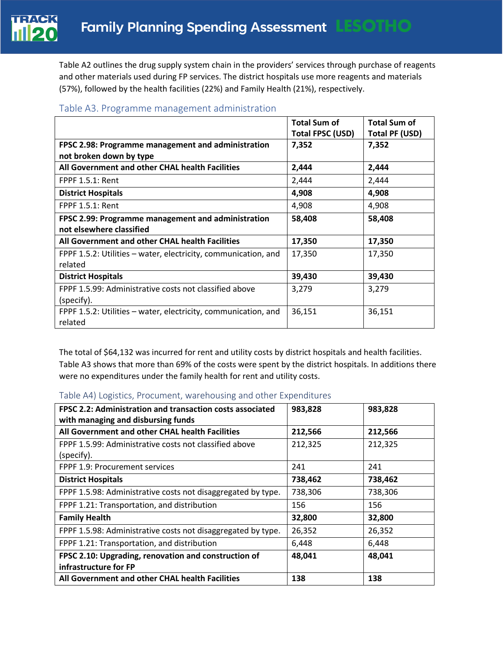Table A2 outlines the drug supply system chain in the providers' services through purchase of reagents and other materials used during FP services. The district hospitals use more reagents and materials (57%), followed by the health facilities (22%) and Family Health (21%), respectively.

| Table A3. Programme management administration |  |  |
|-----------------------------------------------|--|--|
|-----------------------------------------------|--|--|

|                                                                | <b>Total Sum of</b><br>Total FPSC (USD) | <b>Total Sum of</b><br>Total PF (USD) |
|----------------------------------------------------------------|-----------------------------------------|---------------------------------------|
| FPSC 2.98: Programme management and administration             | 7,352                                   | 7,352                                 |
| not broken down by type                                        |                                         |                                       |
| All Government and other CHAL health Facilities                | 2,444                                   | 2,444                                 |
| <b>FPPF 1.5.1: Rent</b>                                        | 2,444                                   | 2,444                                 |
| <b>District Hospitals</b>                                      | 4,908                                   | 4,908                                 |
| <b>FPPF 1.5.1: Rent</b>                                        | 4,908                                   | 4,908                                 |
| FPSC 2.99: Programme management and administration             | 58,408                                  | 58,408                                |
| not elsewhere classified                                       |                                         |                                       |
| All Government and other CHAL health Facilities                | 17,350                                  | 17,350                                |
| FPPF 1.5.2: Utilities – water, electricity, communication, and | 17,350                                  | 17,350                                |
| related                                                        |                                         |                                       |
| <b>District Hospitals</b>                                      | 39,430                                  | 39,430                                |
| FPPF 1.5.99: Administrative costs not classified above         | 3,279                                   | 3,279                                 |
| (specify).                                                     |                                         |                                       |
| FPPF 1.5.2: Utilities – water, electricity, communication, and | 36,151                                  | 36,151                                |
| related                                                        |                                         |                                       |

The total of \$64,132 was incurred for rent and utility costs by district hospitals and health facilities. Table A3 shows that more than 69% of the costs were spent by the district hospitals. In additions there were no expenditures under the family health for rent and utility costs.

### Table A4) Logistics, Procument, warehousing and other Expenditures

| FPSC 2.2: Administration and transaction costs associated<br>with managing and disbursing funds | 983,828 | 983,828 |
|-------------------------------------------------------------------------------------------------|---------|---------|
| All Government and other CHAL health Facilities                                                 | 212,566 | 212,566 |
| FPPF 1.5.99: Administrative costs not classified above<br>(specify).                            | 212,325 | 212,325 |
| <b>FPPF 1.9: Procurement services</b>                                                           | 241     | 241     |
| <b>District Hospitals</b>                                                                       | 738,462 | 738,462 |
| FPPF 1.5.98: Administrative costs not disaggregated by type.                                    | 738,306 | 738,306 |
| FPPF 1.21: Transportation, and distribution                                                     | 156     | 156     |
| <b>Family Health</b>                                                                            | 32,800  | 32,800  |
| FPPF 1.5.98: Administrative costs not disaggregated by type.                                    | 26,352  | 26,352  |
| FPPF 1.21: Transportation, and distribution                                                     | 6,448   | 6,448   |
| FPSC 2.10: Upgrading, renovation and construction of<br>infrastructure for FP                   | 48,041  | 48,041  |
| All Government and other CHAL health Facilities                                                 | 138     | 138     |